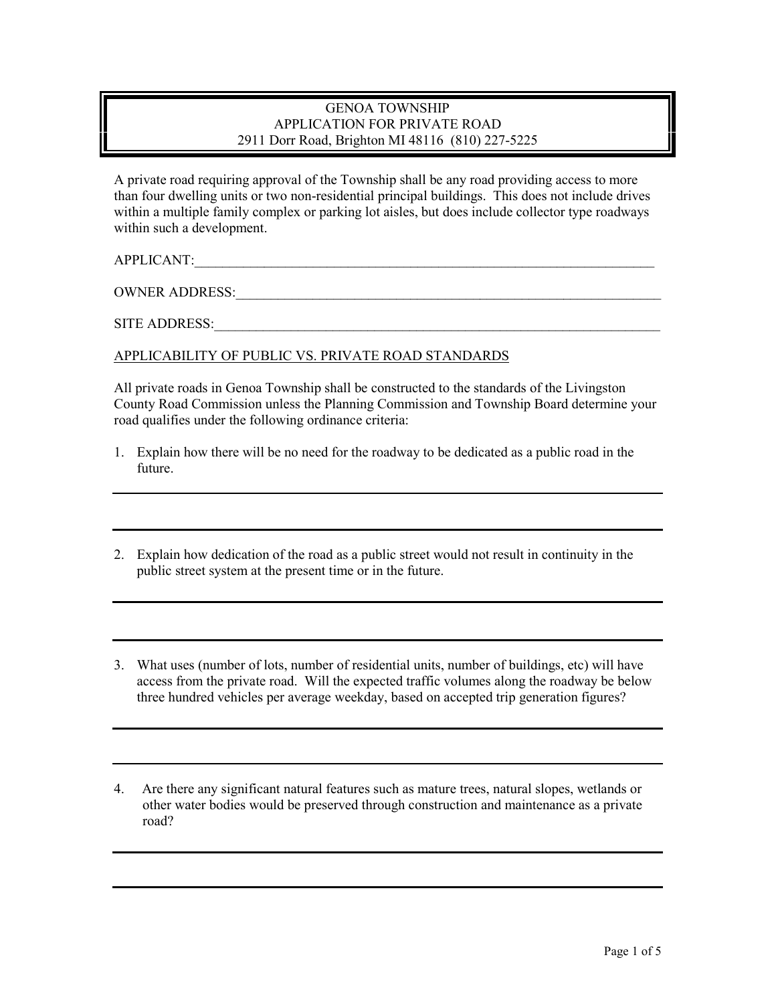## GENOA TOWNSHIP APPLICATION FOR PRIVATE ROAD 2911 Dorr Road, Brighton MI 48116 (810) 227-5225

A private road requiring approval of the Township shall be any road providing access to more than four dwelling units or two non-residential principal buildings. This does not include drives within a multiple family complex or parking lot aisles, but does include collector type roadways within such a development.

APPLICANT:

OWNER ADDRESS:

SITE ADDRESS:\_\_\_\_\_\_\_\_\_\_\_\_\_\_\_\_\_\_\_\_\_\_\_\_\_\_\_\_\_\_\_\_\_\_\_\_\_\_\_\_\_\_\_\_\_\_\_\_\_\_\_\_\_\_\_\_\_\_\_\_\_\_\_\_

## APPLICABILITY OF PUBLIC VS. PRIVATE ROAD STANDARDS

All private roads in Genoa Township shall be constructed to the standards of the Livingston County Road Commission unless the Planning Commission and Township Board determine your road qualifies under the following ordinance criteria:

- 1. Explain how there will be no need for the roadway to be dedicated as a public road in the future.
- 2. Explain how dedication of the road as a public street would not result in continuity in the public street system at the present time or in the future.
- 3. What uses (number of lots, number of residential units, number of buildings, etc) will have access from the private road. Will the expected traffic volumes along the roadway be below three hundred vehicles per average weekday, based on accepted trip generation figures?
- 4. Are there any significant natural features such as mature trees, natural slopes, wetlands or other water bodies would be preserved through construction and maintenance as a private road?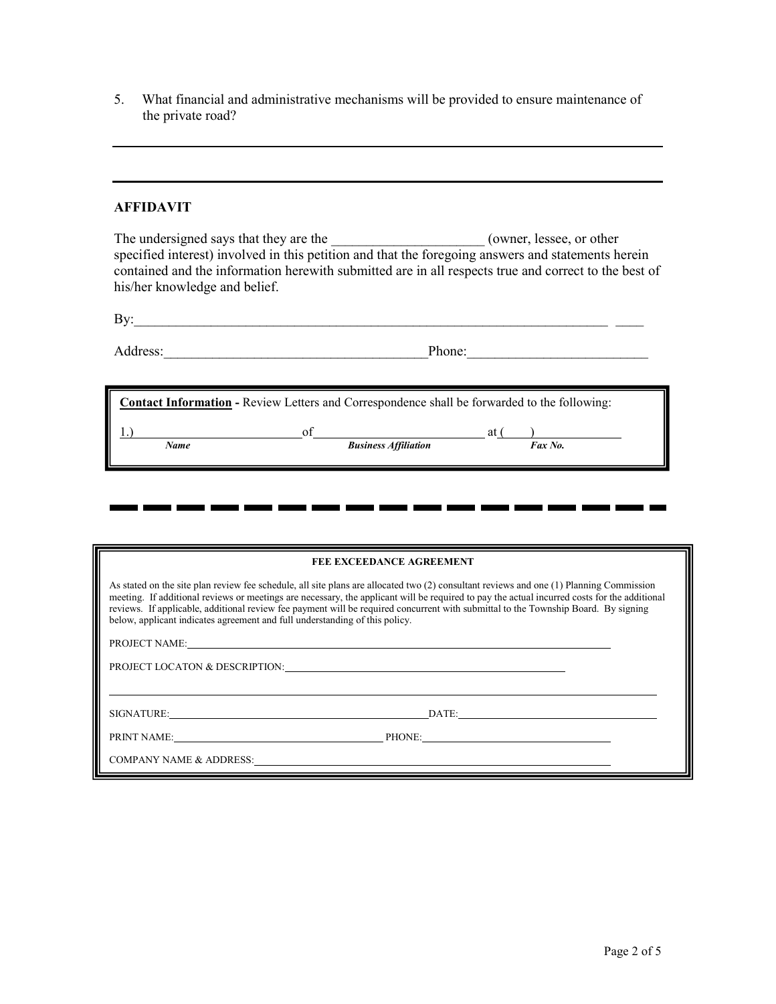5. What financial and administrative mechanisms will be provided to ensure maintenance of the private road?

## **AFFIDAVIT**

The undersigned says that they are the \_\_\_\_\_\_\_\_\_\_\_\_\_\_\_\_\_\_\_\_\_\_\_(owner, lessee, or other specified interest) involved in this petition and that the foregoing answers and statements herein contained and the information herewith submitted are in all respects true and correct to the best of his/her knowledge and belief.

| By:               |        |
|-------------------|--------|
| Λ<br>.<br>August. | Phone: |

| <b>Contact Information</b> - Review Letters and Correspondence shall be forwarded to the following: |                             |               |  |  |  |  |
|-----------------------------------------------------------------------------------------------------|-----------------------------|---------------|--|--|--|--|
| Name                                                                                                | <b>Business Affiliation</b> | at<br>Fax No. |  |  |  |  |

. .

. .

п.

. .

. .

**.** 

. .

**1 D** 

. .

| <b>FEE EXCEEDANCE AGREEMENT</b>                                                                                                                                                                                                                                                                                                                                                                                                                                                                              |  |  |  |  |
|--------------------------------------------------------------------------------------------------------------------------------------------------------------------------------------------------------------------------------------------------------------------------------------------------------------------------------------------------------------------------------------------------------------------------------------------------------------------------------------------------------------|--|--|--|--|
| As stated on the site plan review fee schedule, all site plans are allocated two (2) consultant reviews and one (1) Planning Commission<br>meeting. If additional reviews or meetings are necessary, the applicant will be required to pay the actual incurred costs for the additional<br>reviews. If applicable, additional review fee payment will be required concurrent with submittal to the Township Board. By signing<br>below, applicant indicates agreement and full understanding of this policy. |  |  |  |  |
|                                                                                                                                                                                                                                                                                                                                                                                                                                                                                                              |  |  |  |  |
| PROJECT LOCATON & DESCRIPTION:                                                                                                                                                                                                                                                                                                                                                                                                                                                                               |  |  |  |  |
|                                                                                                                                                                                                                                                                                                                                                                                                                                                                                                              |  |  |  |  |
| SIGNATURE: New York Contract Contract Contract Contract Contract Contract Contract Contract Contract Contract Contract Contract Contract Contract Contract Contract Contract Contract Contract Contract Contract Contract Cont<br>DATE:                                                                                                                                                                                                                                                                      |  |  |  |  |
| PHONE:                                                                                                                                                                                                                                                                                                                                                                                                                                                                                                       |  |  |  |  |
| COMPANY NAME & ADDRESS: Universe of the Second Second Second Second Second Second Second Second Second Second Second Second Second Second Second Second Second Second Second Second Second Second Second Second Second Second                                                                                                                                                                                                                                                                                |  |  |  |  |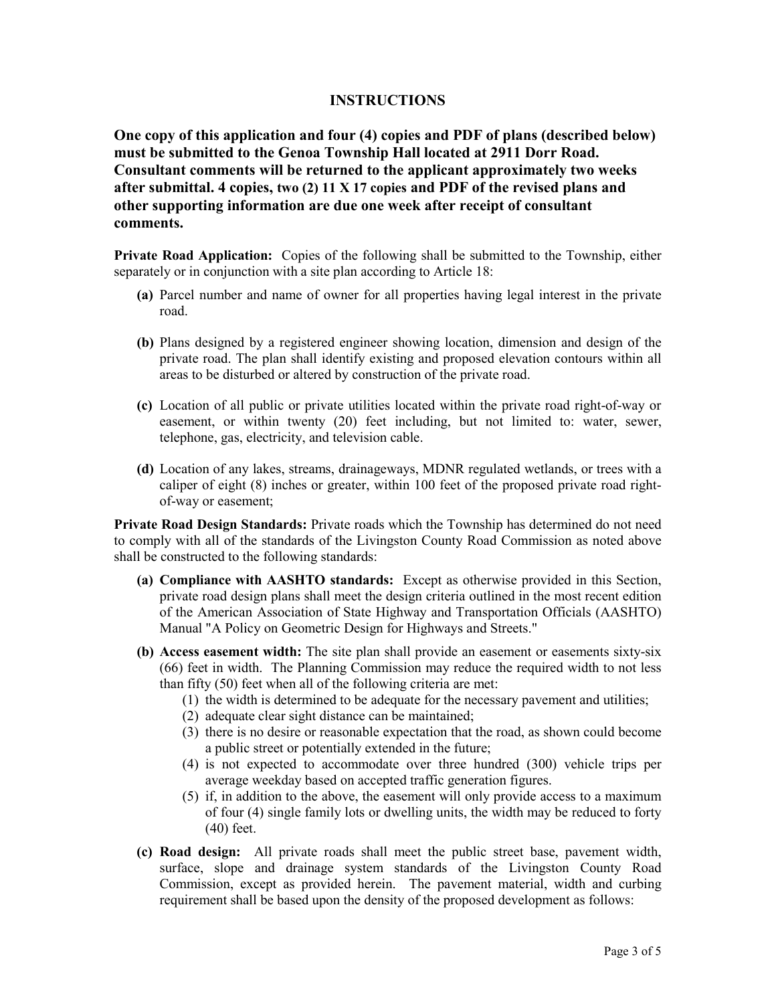## **INSTRUCTIONS**

**One copy of this application and four (4) copies and PDF of plans (described below) must be submitted to the Genoa Township Hall located at 2911 Dorr Road. Consultant comments will be returned to the applicant approximately two weeks after submittal. 4 copies, two (2) 11 X 17 copies and PDF of the revised plans and other supporting information are due one week after receipt of consultant comments.** 

**Private Road Application:** Copies of the following shall be submitted to the Township, either separately or in conjunction with a site plan according to Article 18:

- **(a)** Parcel number and name of owner for all properties having legal interest in the private road.
- **(b)** Plans designed by a registered engineer showing location, dimension and design of the private road. The plan shall identify existing and proposed elevation contours within all areas to be disturbed or altered by construction of the private road.
- **(c)** Location of all public or private utilities located within the private road right-of-way or easement, or within twenty (20) feet including, but not limited to: water, sewer, telephone, gas, electricity, and television cable.
- **(d)** Location of any lakes, streams, drainageways, MDNR regulated wetlands, or trees with a caliper of eight (8) inches or greater, within 100 feet of the proposed private road rightof-way or easement;

**Private Road Design Standards:** Private roads which the Township has determined do not need to comply with all of the standards of the Livingston County Road Commission as noted above shall be constructed to the following standards:

- **(a) Compliance with AASHTO standards:** Except as otherwise provided in this Section, private road design plans shall meet the design criteria outlined in the most recent edition of the American Association of State Highway and Transportation Officials (AASHTO) Manual "A Policy on Geometric Design for Highways and Streets."
- **(b) Access easement width:** The site plan shall provide an easement or easements sixty-six (66) feet in width. The Planning Commission may reduce the required width to not less than fifty (50) feet when all of the following criteria are met:
	- (1) the width is determined to be adequate for the necessary pavement and utilities;
	- (2) adequate clear sight distance can be maintained;
	- (3) there is no desire or reasonable expectation that the road, as shown could become a public street or potentially extended in the future;
	- (4) is not expected to accommodate over three hundred (300) vehicle trips per average weekday based on accepted traffic generation figures.
	- (5) if, in addition to the above, the easement will only provide access to a maximum of four (4) single family lots or dwelling units, the width may be reduced to forty (40) feet.
- **(c) Road design:** All private roads shall meet the public street base, pavement width, surface, slope and drainage system standards of the Livingston County Road Commission, except as provided herein. The pavement material, width and curbing requirement shall be based upon the density of the proposed development as follows: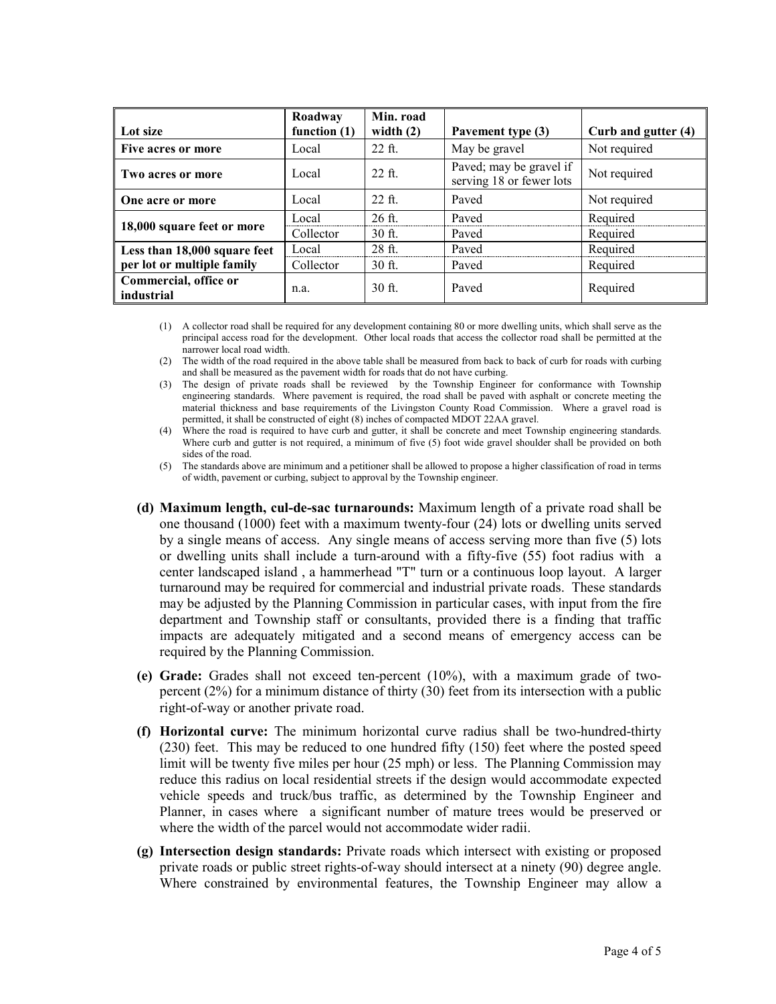|                                     | Roadway        | Min. road        |                                                     |                     |
|-------------------------------------|----------------|------------------|-----------------------------------------------------|---------------------|
| Lot size                            | function $(1)$ | width $(2)$      | Pavement type (3)                                   | Curb and gutter (4) |
| Five acres or more                  | Local          | $22$ ft.         | May be gravel                                       | Not required        |
| Two acres or more                   | Local          | $22$ ft.         | Paved; may be gravel if<br>serving 18 or fewer lots | Not required        |
| One acre or more                    | Local          | $22$ ft.         | Paved                                               | Not required        |
| 18,000 square feet or more          | Local          | $26 \text{ ft.}$ | Paved                                               | Required            |
|                                     | Collector      | $30$ ft.         | Paved                                               | Required            |
| Less than 18,000 square feet        | Local          | $28$ ft.         | Payed                                               | Required            |
| per lot or multiple family          | Collector      | $30$ ft.         | Paved                                               | Required            |
| Commercial, office or<br>industrial | n.a.           | $30$ ft.         | Payed                                               | Required            |

(1) A collector road shall be required for any development containing 80 or more dwelling units, which shall serve as the principal access road for the development. Other local roads that access the collector road shall be permitted at the narrower local road width.

(2) The width of the road required in the above table shall be measured from back to back of curb for roads with curbing and shall be measured as the pavement width for roads that do not have curbing.

(3) The design of private roads shall be reviewed by the Township Engineer for conformance with Township engineering standards. Where pavement is required, the road shall be paved with asphalt or concrete meeting the material thickness and base requirements of the Livingston County Road Commission. Where a gravel road is permitted, it shall be constructed of eight (8) inches of compacted MDOT 22AA gravel.

(4) Where the road is required to have curb and gutter, it shall be concrete and meet Township engineering standards. Where curb and gutter is not required, a minimum of five (5) foot wide gravel shoulder shall be provided on both sides of the road.

(5) The standards above are minimum and a petitioner shall be allowed to propose a higher classification of road in terms of width, pavement or curbing, subject to approval by the Township engineer.

- **(d) Maximum length, cul-de-sac turnarounds:** Maximum length of a private road shall be one thousand (1000) feet with a maximum twenty-four (24) lots or dwelling units served by a single means of access. Any single means of access serving more than five (5) lots or dwelling units shall include a turn-around with a fifty-five (55) foot radius with a center landscaped island , a hammerhead "T" turn or a continuous loop layout. A larger turnaround may be required for commercial and industrial private roads. These standards may be adjusted by the Planning Commission in particular cases, with input from the fire department and Township staff or consultants, provided there is a finding that traffic impacts are adequately mitigated and a second means of emergency access can be required by the Planning Commission.
- **(e) Grade:** Grades shall not exceed ten-percent (10%), with a maximum grade of twopercent (2%) for a minimum distance of thirty (30) feet from its intersection with a public right-of-way or another private road.
- **(f) Horizontal curve:** The minimum horizontal curve radius shall be two-hundred-thirty (230) feet. This may be reduced to one hundred fifty (150) feet where the posted speed limit will be twenty five miles per hour (25 mph) or less. The Planning Commission may reduce this radius on local residential streets if the design would accommodate expected vehicle speeds and truck/bus traffic, as determined by the Township Engineer and Planner, in cases where a significant number of mature trees would be preserved or where the width of the parcel would not accommodate wider radii.
- **(g) Intersection design standards:** Private roads which intersect with existing or proposed private roads or public street rights-of-way should intersect at a ninety (90) degree angle. Where constrained by environmental features, the Township Engineer may allow a